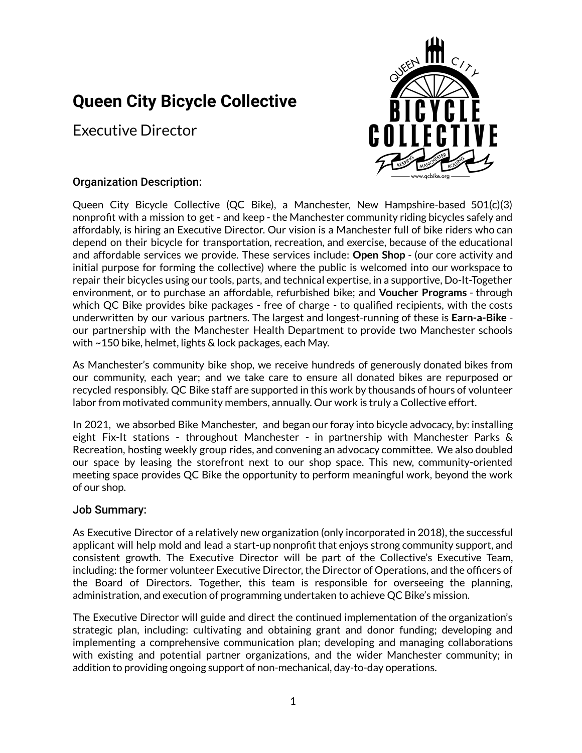# **Queen City Bicycle Collective**

Executive Director



# Organization Description:

Queen City Bicycle Collective (QC Bike), a Manchester, New Hampshire-based 501(c)(3) nonprofit with a mission to get - and keep - the Manchester community riding bicycles safely and affordably, is hiring an Executive Director. Our vision is a Manchester full of bike riders who can depend on their bicycle for transportation, recreation, and exercise, because of the educational and affordable services we provide. These services include: **Open Shop** - (our core activity and initial purpose for forming the collective) where the public is welcomed into our workspace to repair their bicycles using our tools, parts, and technical expertise, in a supportive, Do-It-Together environment, or to purchase an affordable, refurbished bike; and **Voucher Programs** - through which QC Bike provides bike packages - free of charge - to qualified recipients, with the costs underwritten by our various partners. The largest and longest-running of these is **Earn-a-Bike** our partnership with the Manchester Health Department to provide two Manchester schools with ~150 bike, helmet, lights & lock packages, each May.

As Manchester's community bike shop, we receive hundreds of generously donated bikes from our community, each year; and we take care to ensure all donated bikes are repurposed or recycled responsibly. QC Bike staff are supported in this work by thousands of hours of volunteer labor from motivated community members, annually. Our work is truly a Collective effort.

In 2021, we absorbed Bike Manchester, and began our foray into bicycle advocacy, by: installing eight Fix-It stations - throughout Manchester - in partnership with Manchester Parks & Recreation, hosting weekly group rides, and convening an advocacy committee. We also doubled our space by leasing the storefront next to our shop space. This new, community-oriented meeting space provides QC Bike the opportunity to perform meaningful work, beyond the work of our shop.

## Job Summary:

As Executive Director of a relatively new organization (only incorporated in 2018), the successful applicant will help mold and lead a start-up nonprofit that enjoys strong community support, and consistent growth. The Executive Director will be part of the Collective's Executive Team, including: the former volunteer Executive Director, the Director of Operations, and the officers of the Board of Directors. Together, this team is responsible for overseeing the planning, administration, and execution of programming undertaken to achieve QC Bike's mission.

The Executive Director will guide and direct the continued implementation of the organization's strategic plan, including: cultivating and obtaining grant and donor funding; developing and implementing a comprehensive communication plan; developing and managing collaborations with existing and potential partner organizations, and the wider Manchester community; in addition to providing ongoing support of non-mechanical, day-to-day operations.